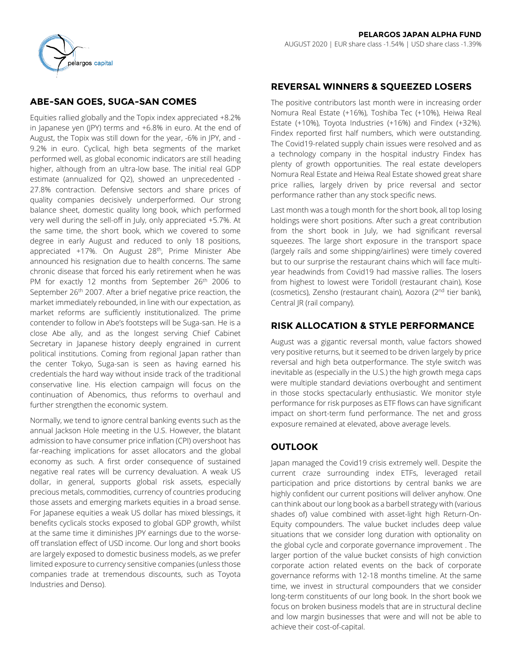

# **ABE-SAN GOES, SUGA-SAN COMES**

Equities rallied globally and the Topix index appreciated +8.2% in Japanese yen (JPY) terms and +6.8% in euro. At the end of August, the Topix was still down for the year, -6% in JPY, and - 9.2% in euro. Cyclical, high beta segments of the market performed well, as global economic indicators are still heading higher, although from an ultra-low base. The initial real GDP estimate (annualized for Q2), showed an unprecedented - 27.8% contraction. Defensive sectors and share prices of quality companies decisively underperformed. Our strong balance sheet, domestic quality long book, which performed very well during the sell-off in July, only appreciated +5.7%. At the same time, the short book, which we covered to some degree in early August and reduced to only 18 positions, appreciated +17%. On August 28<sup>th</sup>, Prime Minister Abe announced his resignation due to health concerns. The same chronic disease that forced his early retirement when he was PM for exactly 12 months from September 26<sup>th</sup> 2006 to September 26<sup>th</sup> 2007. After a brief negative price reaction, the market immediately rebounded, in line with our expectation, as market reforms are sufficiently institutionalized. The prime contender to follow in Abe's footsteps will be Suga-san. He is a close Abe ally, and as the longest serving Chief Cabinet Secretary in Japanese history deeply engrained in current political institutions. Coming from regional Japan rather than the center Tokyo, Suga-san is seen as having earned his credentials the hard way without inside track of the traditional conservative line. His election campaign will focus on the continuation of Abenomics, thus reforms to overhaul and further strengthen the economic system.

Normally, we tend to ignore central banking events such as the annual Jackson Hole meeting in the U.S. However, the blatant admission to have consumer price inflation (CPI) overshoot has far-reaching implications for asset allocators and the global economy as such. A first order consequence of sustained negative real rates will be currency devaluation. A weak US dollar, in general, supports global risk assets, especially precious metals, commodities, currency of countries producing those assets and emerging markets equities in a broad sense. For Japanese equities a weak US dollar has mixed blessings, it benefits cyclicals stocks exposed to global GDP growth, whilst at the same time it diminishes JPY earnings due to the worseoff translation effect of USD income. Our long and short books are largely exposed to domestic business models, as we prefer limited exposure to currency sensitive companies (unless those companies trade at tremendous discounts, such as Toyota Industries and Denso).

# **REVERSAL WINNERS & SQUEEZED LOSERS**

The positive contributors last month were in increasing order Nomura Real Estate (+16%), Toshiba Tec (+10%), Heiwa Real Estate (+10%), Toyota Industries (+16%) and Findex (+32%). Findex reported first half numbers, which were outstanding. The Covid19-related supply chain issues were resolved and as a technology company in the hospital industry Findex has plenty of growth opportunities. The real estate developers Nomura Real Estate and Heiwa Real Estate showed great share price rallies, largely driven by price reversal and sector performance rather than any stock specific news.

Last month was a tough month for the short book, all top losing holdings were short positions. After such a great contribution from the short book in July, we had significant reversal squeezes. The large short exposure in the transport space (largely rails and some shipping/airlines) were timely covered but to our surprise the restaurant chains which will face multiyear headwinds from Covid19 had massive rallies. The losers from highest to lowest were Toridoll (restaurant chain), Kose (cosmetics), Zensho (restaurant chain), Aozora (2<sup>nd</sup> tier bank), Central JR (rail company).

# **RISK ALLOCATION & STYLE PERFORMANCE**

August was a gigantic reversal month, value factors showed very positive returns, but it seemed to be driven largely by price reversal and high beta outperformance. The style switch was inevitable as (especially in the U.S.) the high growth mega caps were multiple standard deviations overbought and sentiment in those stocks spectacularly enthusiastic. We monitor style performance for risk purposes as ETF flows can have significant impact on short-term fund performance. The net and gross exposure remained at elevated, above average levels.

# **OUTLOOK**

Japan managed the Covid19 crisis extremely well. Despite the current craze surrounding index ETFs, leveraged retail participation and price distortions by central banks we are highly confident our current positions will deliver anyhow. One can think about our long book as a barbell strategy with (various shades of) value combined with asset-light high Return-On-Equity compounders. The value bucket includes deep value situations that we consider long duration with optionality on the global cycle and corporate governance improvement . The larger portion of the value bucket consists of high conviction corporate action related events on the back of corporate governance reforms with 12-18 months timeline. At the same time, we invest in structural compounders that we consider long-term constituents of our long book. In the short book we focus on broken business models that are in structural decline and low margin businesses that were and will not be able to achieve their cost-of-capital.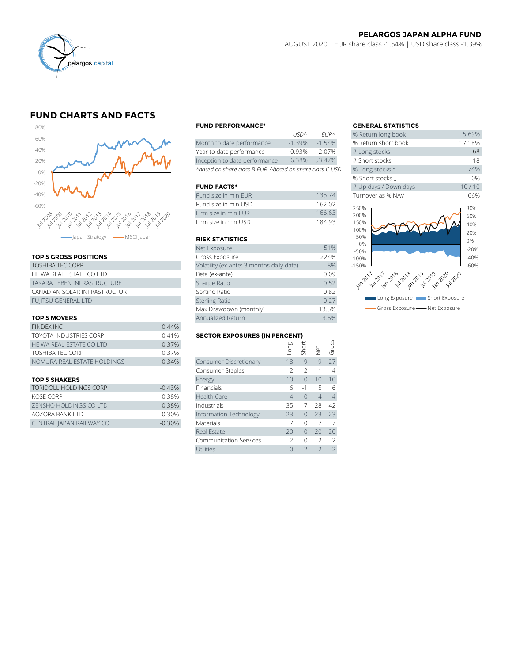

### **PELARGOS JAPAN ALPHA FUND** AUGUST 2020 | EUR share class -1.54% | USD share class -1.39%

# **FUND CHARTS AND FACTS**



### **TOP 5 GROSS POSITIONS**

| <b>TOSHIBA TEC CORP</b>      | Volatility (ex-ar     |
|------------------------------|-----------------------|
| HEIWA REAL ESTATE CO LTD     | Beta (ex-ante)        |
| TAKARA I FBFN INFRASTRUCTURF | Sharpe Ratio          |
| CANADIAN SOLAR INFRASTRUCTUR | Sortino Ratio         |
| <b>FUJITSU GENERAL LTD</b>   | <b>Sterling Ratio</b> |

### **TOP 5 MOVERS**

| Max Drawdown (monthly)        |                   |                                      |      |                |                      |               |
|-------------------------------|-------------------|--------------------------------------|------|----------------|----------------------|---------------|
| <b>TOP 5 MOVERS</b>           | Annualized Return |                                      | 3.6% |                |                      |               |
| <b>FINDEX INC</b>             | 0.44%             |                                      |      |                |                      |               |
| <b>TOYOTA INDUSTRIES CORP</b> | 0.41%             | <b>SECTOR EXPOSURES (IN PERCENT)</b> |      |                |                      |               |
| HEIWA REAL ESTATE CO LTD      | 0.37%             |                                      | guo. | nori<br>Short  |                      | SS            |
| <b>TOSHIBA TEC CORP</b>       | 0.37%             |                                      |      |                | $\frac{1}{\sqrt{2}}$ | $\frac{1}{5}$ |
| NOMURA REAL ESTATE HOLDINGS   | 0.34%             | Consumer Discretionary               | 18   | $-Q$           | q                    | 27            |
|                               |                   | Consumer Staples                     |      | $\overline{a}$ |                      |               |
|                               |                   |                                      |      |                |                      |               |

| TORIDOLL HOLDINGS CORP   | $-0.43%$ |
|--------------------------|----------|
| KOSE CORP                | $-0.38%$ |
| ZENSHO HOLDINGS CO LTD   | $-0.38%$ |
| AOZORA BANK LTD          | $-0.30%$ |
| CENTRAL JAPAN RAILWAY CO | $-0.30%$ |

### **FUND PERFORMANCE\* GENERAL STATISTICS**

|                                                          | 11511'          | FUR <sup>"</sup> | % Return iong Dook  |
|----------------------------------------------------------|-----------------|------------------|---------------------|
| Month to date performance                                | $-1.39%$        | $-1.54\%$        | % Return short book |
| Year to date performance                                 | $-0.93%$        | $-2.07\%$        | # Long stocks       |
| Inception to date performance                            | 6.38%           | 53.47%           | # Short stocks      |
| *based on share class B EUR, ^based on share class C USD | % Long stocks 1 |                  |                     |

### **FUND FACTS\***

| Fund size in mln FUR | 135.74 | Turnover as % NAV |
|----------------------|--------|-------------------|
| Fund size in mln USD | 162.02 | 250%              |
| Firm size in mln FUR | 166.63 | 200%              |
| Firm size in mln USD | 18493  | 150%              |

### **RISK STATISTICS**

|                              | Firm size in mln EUR                      | 166.63 |
|------------------------------|-------------------------------------------|--------|
|                              | Firm size in mln USD                      | 184.93 |
| apan Strategy - MSCI Japan   | <b>RISK STATISTICS</b>                    |        |
|                              | Net Exposure                              | 51%    |
| <b>TOP 5 GROSS POSITIONS</b> | Gross Exposure                            | 224%   |
| TOSHIBA TEC CORP             | Volatility (ex-ante; 3 months daily data) | 8%     |
| HEIWA REAL ESTATE CO LTD     | Beta (ex-ante)                            | 0.09   |
| TAKARA LEBEN INFRASTRUCTURE  | Sharpe Ratio                              | 0.52   |
| CANADIAN SOLAR INFRASTRUCTUR | Sortino Ratio                             | 0.82   |
| <b>FUJITSU GENERAL LTD</b>   | <b>Sterling Ratio</b>                     | 0.27   |
|                              | Max Drawdown (monthly)                    | 13.5%  |
| <b>TOP 5 MOVERS</b>          | Annualized Return                         | 3.6%   |
|                              |                                           |        |

# TOYOTA INDUSTRIES CORP **SECTOR EXPOSURES (IN PERCENT)**

| <b>FINDEX INC</b>             | 0.44%    |                                      |                 |           |                |                          |  |  |
|-------------------------------|----------|--------------------------------------|-----------------|-----------|----------------|--------------------------|--|--|
| TOYOTA INDUSTRIES CORP        | 0.41%    | <b>SECTOR EXPOSURES (IN PERCENT)</b> |                 |           |                |                          |  |  |
| HEIWA REAL ESTATE CO LTD      | 0.37%    |                                      | auo-            | Short     |                | Gross                    |  |  |
| TOSHIBA TEC CORP              | 0.37%    |                                      |                 |           | <b>Jer</b>     |                          |  |  |
| NOMURA REAL ESTATE HOLDINGS   | 0.34%    | Consumer Discretionary               | 18              | $-9$      | 9              | 27                       |  |  |
|                               |          | Consumer Staples                     | 2               | $-2$      |                | 4                        |  |  |
| <b>TOP 5 SHAKERS</b>          |          | Energy                               | 10 <sup>1</sup> | $\bigcap$ | 10             | 10                       |  |  |
| <b>TORIDOLL HOLDINGS CORP</b> | $-0.43%$ | Financials                           | 6               | $-1$      | 5              | 6                        |  |  |
| KOSE CORP                     | $-0.38%$ | <b>Health Care</b>                   | 4               | $\Omega$  | $\overline{4}$ | $\overline{4}$           |  |  |
| ZENSHO HOLDINGS CO LTD        | $-0.38%$ | Industrials                          | 35              | -7        | 28             | 42                       |  |  |
| AOZORA BANK LTD               | $-0.30%$ | Information Technology               | 23              | $\bigcap$ | 23             | 23                       |  |  |
| CENTRAL JAPAN RAILWAY CO      | $-0.30%$ | <b>Materials</b>                     |                 | $\Omega$  |                |                          |  |  |
|                               |          | Real Estate                          | 20              | $\Omega$  | 20             | 20                       |  |  |
|                               |          | <b>Communication Services</b>        |                 | $\Omega$  | $\mathcal{P}$  | $\mathcal{L}$            |  |  |
|                               |          | <b>Utilities</b>                     | 0               | $-2$      | $-2$           | $\overline{\phantom{a}}$ |  |  |

|          |                      | <b>GENERAL STATISTICS</b>               |        |  |  |
|----------|----------------------|-----------------------------------------|--------|--|--|
| USD^     | $EUR*$               | % Return long book                      | 5.69%  |  |  |
| $-1.39%$ | $-1.54%$             | % Return short book                     | 17.18% |  |  |
| $-0.93%$ | $-2.07%$             | # Long stocks                           | 68     |  |  |
| 6.38%    | 53.47%               | # Short stocks                          | 18     |  |  |
|          | on share class C USD | % Long stocks 1                         | 74%    |  |  |
|          |                      | % Short stocks L                        | 0%     |  |  |
|          |                      | # Up days / Down days                   | 10/10  |  |  |
|          | 135.74               | Turnover as % NAV                       | 66%    |  |  |
|          | 162.02               | 250%                                    | 80%    |  |  |
|          | 166.63               | 200%                                    | 60%    |  |  |
|          | 184.93               | 150%                                    | 40%    |  |  |
|          |                      | 100%                                    | 20%    |  |  |
|          |                      | 50%                                     | 0%     |  |  |
|          | 51%                  | 0%<br>$-50%$                            | $-20%$ |  |  |
|          | 224%                 | $-100%$                                 | $-40%$ |  |  |
| ata)     | 8%                   | $-150%$                                 | $-60%$ |  |  |
|          | 0.09                 |                                         |        |  |  |
|          | 0.52                 | 2011/21/2019 2019 2019 2019 2019 202    |        |  |  |
|          | 0.82                 |                                         |        |  |  |
|          | 0.27                 | Long Exposure <b>The Short Exposure</b> |        |  |  |
|          | 13.5%                | Gross Exposure - Net Exposure           |        |  |  |
|          | $\sim$ $\sim$ $\sim$ |                                         |        |  |  |